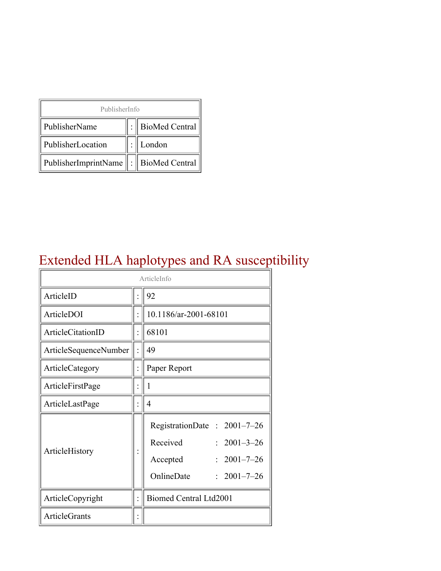| PublisherInfo                               |  |                    |  |  |
|---------------------------------------------|--|--------------------|--|--|
| PublisherName                               |  | :   BioMed Central |  |  |
| PublisherLocation                           |  | London             |  |  |
| PublisherImprintName    :    BioMed Central |  |                    |  |  |

### Extended HLA haplotypes and RA susceptibility

| ArticleInfo           |  |                                                                                                                                        |  |
|-----------------------|--|----------------------------------------------------------------------------------------------------------------------------------------|--|
| ArticleID             |  | 92                                                                                                                                     |  |
| ArticleDOI            |  | 10.1186/ar-2001-68101                                                                                                                  |  |
| ArticleCitationID     |  | 68101                                                                                                                                  |  |
| ArticleSequenceNumber |  | 49                                                                                                                                     |  |
| ArticleCategory       |  | Paper Report                                                                                                                           |  |
| ArticleFirstPage      |  | 1                                                                                                                                      |  |
| ArticleLastPage       |  | 4                                                                                                                                      |  |
| ArticleHistory        |  | RegistrationDate: 2001-7-26<br>Received<br>$2001 - 3 - 26$<br>$2001 - 7 - 26$<br>Accepted<br>OnlineDate<br>$2001 - 7 - 26$<br>$\gamma$ |  |
| ArticleCopyright      |  | <b>Biomed Central Ltd2001</b>                                                                                                          |  |
| <b>ArticleGrants</b>  |  |                                                                                                                                        |  |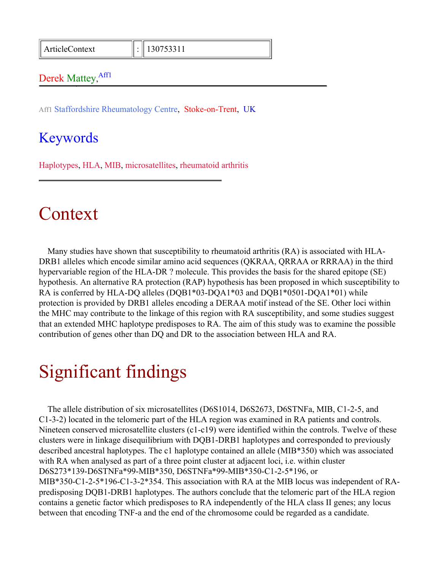ArticleContext : 130753311

#### Derek Mattey, Affl

Aff1 Staffordshire Rheumatology Centre, Stoke-on-Trent, UK

#### Keywords

Haplotypes, HLA, MIB, microsatellites, rheumatoid arthritis

#### Context

Many studies have shown that susceptibility to rheumatoid arthritis (RA) is associated with HLA-DRB1 alleles which encode similar amino acid sequences (QKRAA, QRRAA or RRRAA) in the third hypervariable region of the HLA-DR ? molecule. This provides the basis for the shared epitope (SE) hypothesis. An alternative RA protection (RAP) hypothesis has been proposed in which susceptibility to RA is conferred by HLA-DQ alleles (DQB1\*03-DQA1\*03 and DQB1\*0501-DQA1\*01) while protection is provided by DRB1 alleles encoding a DERAA motif instead of the SE. Other loci within the MHC may contribute to the linkage of this region with RA susceptibility, and some studies suggest that an extended MHC haplotype predisposes to RA. The aim of this study was to examine the possible contribution of genes other than DQ and DR to the association between HLA and RA.

## Significant findings

The allele distribution of six microsatellites (D6S1014, D6S2673, D6STNFa, MIB, C1-2-5, and C1-3-2) located in the telomeric part of the HLA region was examined in RA patients and controls. Nineteen conserved microsatellite clusters (c1-c19) were identified within the controls. Twelve of these clusters were in linkage disequilibrium with DQB1-DRB1 haplotypes and corresponded to previously described ancestral haplotypes. The c1 haplotype contained an allele (MIB\*350) which was associated with RA when analysed as part of a three point cluster at adjacent loci, i.e. within cluster D6S273\*139-D6STNFa\*99-MIB\*350, D6STNFa\*99-MIB\*350-C1-2-5\*196, or MIB\*350-C1-2-5\*196-C1-3-2\*354. This association with RA at the MIB locus was independent of RApredisposing DQB1-DRB1 haplotypes. The authors conclude that the telomeric part of the HLA region contains a genetic factor which predisposes to RA independently of the HLA class II genes; any locus between that encoding TNF-a and the end of the chromosome could be regarded as a candidate.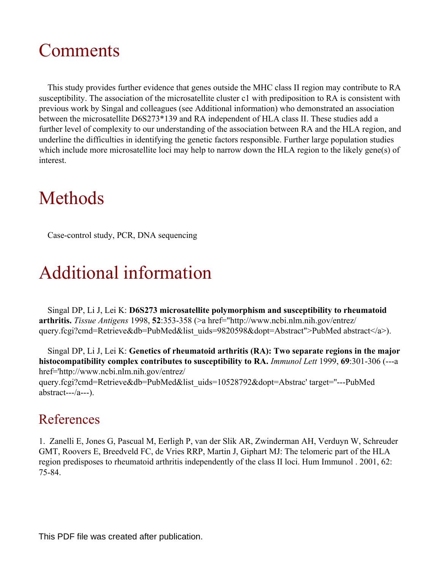## Comments

This study provides further evidence that genes outside the MHC class II region may contribute to RA susceptibility. The association of the microsatellite cluster c1 with prediposition to RA is consistent with previous work by Singal and colleagues (see Additional information) who demonstrated an association between the microsatellite D6S273\*139 and RA independent of HLA class II. These studies add a further level of complexity to our understanding of the association between RA and the HLA region, and underline the difficulties in identifying the genetic factors responsible. Further large population studies which include more microsatellite loci may help to narrow down the HLA region to the likely gene(s) of interest.

# Methods

Case-control study, PCR, DNA sequencing

# Additional information

Singal DP, Li J, Lei K: **D6S273 microsatellite polymorphism and susceptibility to rheumatoid arthritis.** *Tissue Antigens* 1998, **52**:353-358 (>a href="http://www.ncbi.nlm.nih.gov/entrez/ query.fcgi?cmd=Retrieve&db=PubMed&list\_uids=9820598&dopt=Abstract">PubMed abstract</a>).

Singal DP, Li J, Lei K: **Genetics of rheumatoid arthritis (RA): Two separate regions in the major histocompatibility complex contributes to susceptibility to RA.** *Immunol Lett* 1999, **69**:301-306 (---a href='http://www.ncbi.nlm.nih.gov/entrez/

query.fcgi?cmd=Retrieve&db=PubMed&list\_uids=10528792&dopt=Abstrac' target=''---PubMed abstract---/a---).

#### References

1. Zanelli E, Jones G, Pascual M, Eerligh P, van der Slik AR, Zwinderman AH, Verduyn W, Schreuder GMT, Roovers E, Breedveld FC, de Vries RRP, Martin J, Giphart MJ: The telomeric part of the HLA region predisposes to rheumatoid arthritis independently of the class II loci. Hum Immunol . 2001, 62: 75-84.